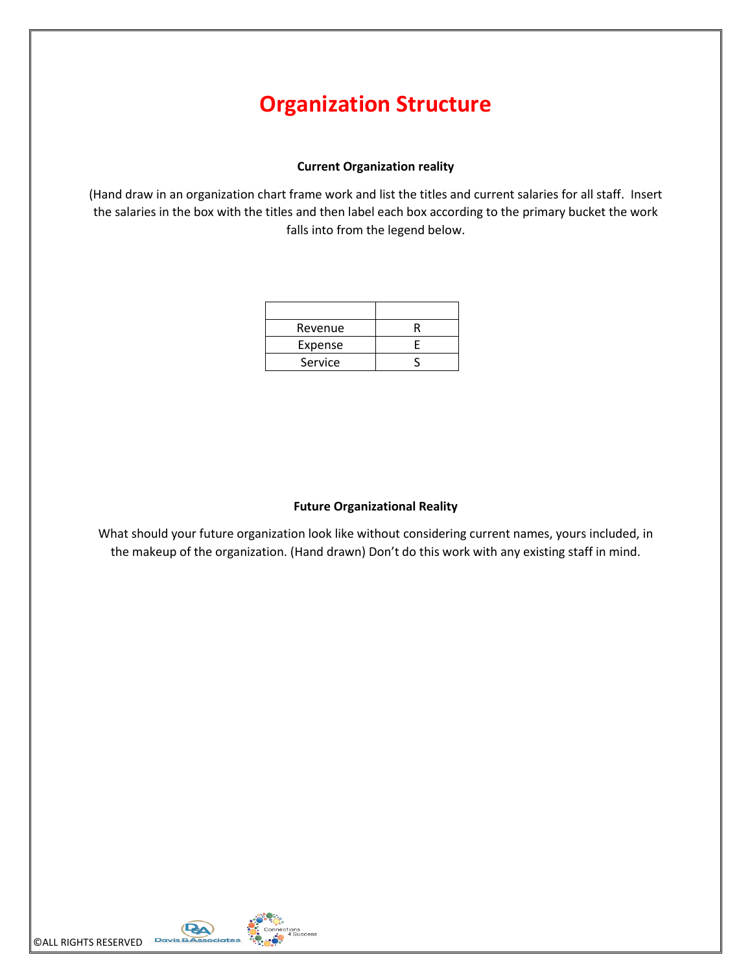# **Organization Structure**

#### **Current Organization reality**

(Hand draw in an organization chart frame work and list the titles and current salaries for all staff. Insert the salaries in the box with the titles and then label each box according to the primary bucket the work falls into from the legend below.

| Revenue |  |
|---------|--|
| Expense |  |
| Service |  |

## **Future Organizational Reality**

What should your future organization look like without considering current names, yours included, in the makeup of the organization. (Hand drawn) Don't do this work with any existing staff in mind.